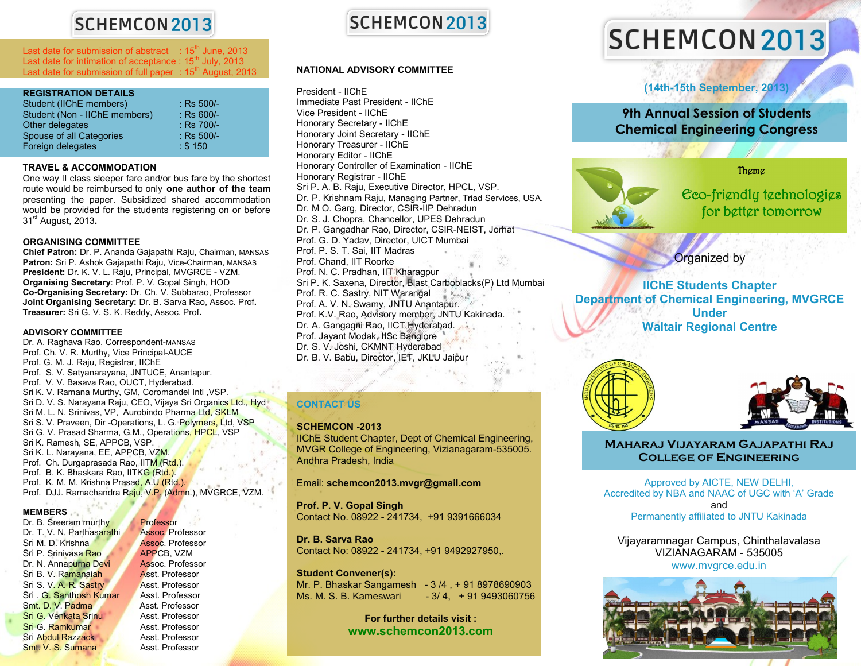## **SCHEMCON 2013**

Last date for submission of abstract  $\div 15^{th}$  June, 2013 Last date for intimation of acceptance :  $15<sup>th</sup>$  July, 2013 Last date for submission of full paper :  $15<sup>th</sup>$  August, 2013

| <b>REGISTRATION DETAILS</b>   |              |
|-------------------------------|--------------|
| Student (IIChE members)       | $:$ Rs 500/- |
| Student (Non - IIChE members) | $:$ Rs 600/- |
| Other delegates               | $:$ Rs 700/- |
| Spouse of all Categories      | $:$ Rs 500/- |
| Foreign delegates             | : \$150      |

### **TRAVEL & ACCOMMODATION**

One way II class sleeper fare and/or bus fare by the shortest route would be reimbursed to only **one author of the team** presenting the paper. Subsidized shared accommodation would be provided for the students registering on or before 31st August, 2013**.**

### **ORGANISING COMMITTEE**

**Chief Patron:** Dr. P. Ananda Gajapathi Raju, Chairman, MANSAS **Patron:** Sri P. Ashok Gajapathi Raju, Vice-Chairman, MANSAS **President:** Dr. K. V. L. Raju, Principal, MVGRCE - VZM. **Organising Secretary**: Prof. P. V. Gopal Singh, HOD **Co-Organising Secretary:** Dr. Ch. V. Subbarao, Professor **Joint Organising Secretary:** Dr. B. Sarva Rao, Assoc. Prof**. Treasurer:** Sri G. V. S. K. Reddy, Assoc. Prof**.**

### **ADVISORY COMMITTEE**

Dr. A. Raghava Rao, Correspondent-MANSAS Prof. Ch. V. R. Murthy, Vice Principal-AUCE Prof. G. M. J. Raju, Registrar, IIChE Prof. S. V. Satyanarayana, JNTUCE, Anantapur. Prof. V. V. Basava Rao, OUCT, Hyderabad. Sri K. V. Ramana Murthy, GM, Coromandel Intl ,VSP. Sri D. V. S. Narayana Raju, CEO, Vijaya Sri Organics Ltd., Hyd Sri M. L. N. Srinivas, VP, Aurobindo Pharma Ltd, SKLM Sri S. V. Praveen, Dir -Operations, L. G. Polymers, Ltd, VSP Sri G. V. Prasad Sharma, G.M., Operations, HPCL, VSP Sri K. Ramesh, SE, APPCB, VSP. Sri K. L. Narayana, EE, APPCB, VZM. Prof. Ch. Durgaprasada Rao, IITM (Rtd.). Prof. B. K. Bhaskara Rao, IITKG (Rtd.). Prof. K. M. M. Krishna Prasad, A.U (Rtd.). Prof. DJJ. Ramachandra Raju, V.P. (Admn.), MVGRCE, VZM.

### **MEMBERS**

Dr. B. Sreeram murthy Professor Dr. T. V. N. Parthasarathi Assoc. Professor Sri M. D. Krishna **Assoc. Professor** Sri P. Srinivasa Rao APPCB, VZM Dr. N. Annapurna Devi Assoc. Professor Sri B. V. Ramanaiah **Asst. Professor**<br>Sri S. V. A. R. Sastry Asst. Professor Sri S. V. A. R. Sastry Asst. Professor<br>Sri . G. Santhosh Kumar Asst. Professor Sri . G. Santhosh Kumar Asst. Professor<br>Smt. D. V. Padma Asst. Professor Smt. D. V. Padma **Sri G. Venkata Srinu Asst. Professor<br>
Sri G. Ramkumar Asst. Professor** Sri G. Ramkumar Sri Abdul Razzack Asst. Professor Smt. V. S. Sumana Asst. Professor



### **NATIONAL ADVISORY COMMITTEE**

President - IIChE Immediate Past President - IIChE Vice President - IIChE Honorary Secretary - IIChE Honorary Joint Secretary - IIChE Honorary Treasurer - IIChE Honorary Editor - IIChE Honorary Controller of Examination - IIChE Honorary Registrar - IIChE Sri P. A. B. Raju, Executive Director, HPCL, VSP. Dr. P. Krishnam Raju, Managing Partner, Triad Services, USA. Dr. M O. Garg, Director, CSIR-IIP Dehradun Dr. S. J. Chopra, Chancellor, UPES Dehradun Dr. P. Gangadhar Rao, Director, CSIR-NEIST, Jorhat Prof. G. D. Yadav, Director, UICT Mumbai Prof. P. S. T. Sai, IIT Madras Prof. Chand, IIT Roorke Prof. N. C. Pradhan, IIT Kharagpur Sri P. K. Saxena, Director, Blast Carboblacks(P) Ltd Mumbai Prof. R. C. Sastry, NIT Warangal Prof. A. V. N. Swamy, JNTU Anantapur. Prof. K.V. Rao, Advisory member, JNTU Kakinada. Dr. A. Gangagni Rao, IICT Hyderabad. Prof. Jayant Modak, IISc Banglore Dr. S. V. Joshi, CKMNT Hyderabad Dr. B. V. Babu, Director, IET, JKLU Jaipur

### **CONTACT US**

### **SCHEMCON -2013**

IIChE Student Chapter, Dept of Chemical Engineering, MVGR College of Engineering, Vizianagaram-535005. Andhra Pradesh, India

守会派

### Email: **schemcon2013.mvgr@gmail.com**

**Prof. P. V. Gopal Singh** Contact No. 08922 - 241734, +91 9391666034

**Dr. B. Sarva Rao**  Contact No: 08922 - 241734, +91 9492927950,.

### **Student Convener(s):**

Mr. P. Bhaskar Sangamesh - 3 /4 , + 91 8978690903 Ms. M. S. B. Kameswari - 3/ 4, + 91 9493060756

> **For further details visit : www.schemcon2013.com**

# SCHEMCON 2013

**(14th-15th September, 2013)**

**9th Annual Session of Students Chemical Engineering Congress**

Theme

Eco-friendly technologies for better tomorrow

Organized by

**IIChE Students Chapter Department of Chemical Engineering, MVGRCE Under Waltair Regional Centre**





### **Maharaj Vijayaram Gajapathi Raj College of Engineering**

Approved by AICTE, NEW DELHI, Accredited by NBA and NAAC of UGC with "A" Grade and Permanently affiliated to JNTU Kakinada

Vijayaramnagar Campus, Chinthalavalasa VIZIANAGARAM - 535005 www.mvgrce.edu.in